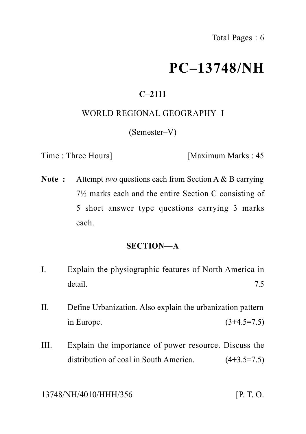# **PC–13748/NH**

### **C–2111**

### WORLD REGIONAL GEOGRAPHY–I

(Semester–V)

Time : Three Hours] [Maximum Marks : 45]

**Note :** Attempt *two* questions each from Section A & B carrying 7½ marks each and the entire Section C consisting of 5 short answer type questions carrying 3 marks each.

#### **SECTION—A**

- I. Explain the physiographic features of North America in detail. The contract of the contract of the contract of the contract of the contract of the contract of the contract of the contract of the contract of the contract of the contract of the contract of the contract of the co
- II. Define Urbanization. Also explain the urbanization pattern in Europe. (3+4.5=7.5)
- III. Explain the importance of power resource. Discuss the distribution of coal in South America.  $(4+3.5=7.5)$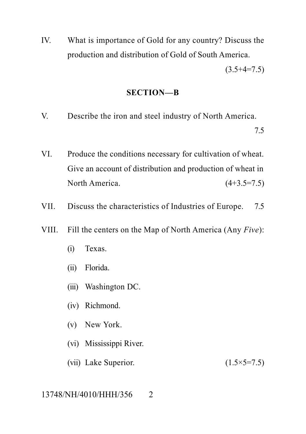IV. What is importance of Gold for any country? Discuss the production and distribution of Gold of South America.

 $(3.5+4=7.5)$ 

#### **SECTION—B**

V. Describe the iron and steel industry of North America.

7.5

- VI. Produce the conditions necessary for cultivation of wheat. Give an account of distribution and production of wheat in North America. (4+3.5=7.5)
- VII. Discuss the characteristics of Industries of Europe. 7.5
- VIII. Fill the centers on the Map of North America (Any *Five*):
	- (i) Texas.
	- (ii) Florida.
	- (iii) Washington DC.
	- (iv) Richmond.
	- (v) New York.
	- (vi) Mississippi River.
	- (vii) Lake Superior.  $(1.5 \times 5 = 7.5)$

#### 13748/NH/4010/HHH/356 2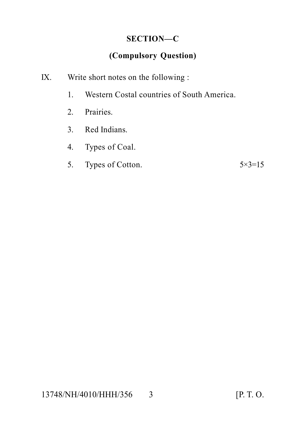### **SECTION—C**

### **(Compulsory Question)**

- IX. Write short notes on the following :
	- 1. Western Costal countries of South America.
	- 2. Prairies.
	- 3. Red Indians.
	- 4. Types of Coal.
	- 5. Types of Cotton.  $5 \times 3 = 15$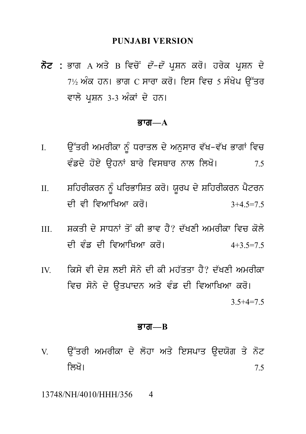#### **PUNJABI VERSION**

**ਨੋਟ :** ਭਾਗ A ਅਤੇ B ਵਿਚੋਂ *ਦੋ–ਦੋ* ਪੁਸ਼ਨ ਕਰੋ। ਹਰੇਕ ਪੁਸ਼ਨ ਦੇ  $7\frac{1}{2}$  ਅੰਕ ਹਨ। ਭਾਗ  $\overline{C}$  ਸਾਰਾ ਕਰੋ। ਇਸ ਵਿਚ 5 ਸੰਖੇਪ ੳੱਤਰ ਵਾਲੇ ਪਸ਼ਨ 3-3 ਅੰਕਾਂ ਦੇ ਹਨ।

#### ਕਾता $-\mathbf{A}$

- ਉੱਤਰੀ ਅਮਰੀਕਾ ਨੂੰ ਧਰਾਤਲ ਦੇ ਅਨੁਸਾਰ ਵੱਖ-ਵੱਖ ਭਾਗਾਂ ਵਿਚ  $\mathbf{I}$ . ਵੰਡਦੇ ਹੋਏ ਉਹਨਾਂ ਬਾਰੇ ਵਿਸਥਾਰ ਨਾਲ ਲਿਖੋ। 75
- ਸ਼ਹਿਰੀਕਰਨ ਨੂੰ ਪਰਿਭਾਸ਼ਿਤ ਕਰੋ। ਯੂਰਪ ਦੇ ਸ਼ਹਿਰੀਕਰਨ ਪੈਟਰਨ  $II.$ ਦੀ ਵੀ ਵਿਆਖਿਆ ਕਰੋ।  $3+4$  5=7.5
- ਸਕਤੀ ਦੇ ਸਾਸਨਾਂ ਤੋਂ ਕੀ ਕਾਵ ਹੈ? ਦੱਖਣੀ ਅਮਰੀਕਾ ਵਿਚ ਕੋਲੇ  $III$ ਦੀ ਵੰਡ ਦੀ ਵਿਆਖਿਆ ਕਰੋ।  $4+3$  5=7.5
- ਕਿਸੇ ਵੀ ਦੇਸ਼ ਲਈ ਸੋਨੇ ਦੀ ਕੀ ਮਹੱਤਤਾ ਹੈ? ਦੱਖਣੀ ਅਮਰੀਕਾ  $\overline{V}$ ਵਿਚ ਸੋਨੇ ਦੇ ਉਤਪਾਦਨ ਅਤੇ ਵੰਡ ਦੀ ਵਿਆਖਿਆ ਕਰੋ।  $3.5 + 4 = 7.5$

#### ਭਾਗ $B$

<u>ਉੱਤਰੀ ਅਮਰੀਕਾ ਦੇ ਲੋਹਾ ਅਤੇ ਇਸਪਾਤ ਉਦਯੋਗ ਤੇ ਨੋਟ</u> V. ਲਿਖੋ। 7.5

13748/NH/4010/HHH/356  $\overline{4}$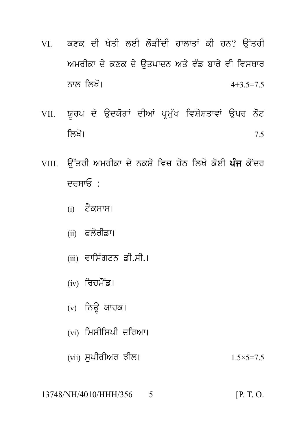- VI. ਕਣਕ ਦੀ ਖੇਤੀ ਲਈ ਲੋੜੀਂਦੀ ਹਾਲਾਤਾਂ ਕੀ ਹਨ? ਉੱਤਰੀ ਅਮਰੀਕਾ ਦੇ ਕਣਕ ਦੇ ਉਤਪਾਦਨ ਅਤੇ ਵੰਡ ਬਾਰੇ ਵੀ ਵਿਸਥਾਰ ਨਾਲ ਲਿਖੋ।  $4+3$  5=7.5
- VII. ਯੂਰਪ ਦੇ ਉਦਯੋਗਾਂ ਦੀਆਂ ਪ੍ਰਮੁੱਖ ਵਿਸ਼ੇਸ਼ਤਾਵਾਂ ਉਪਰ ਨੋਟ ਲਿਖੋ।  $7.5$
- VIII. ਉੱਤਰੀ ਅਮਰੀਕਾ ਦੇ ਨਕਸ਼ੇ ਵਿਚ ਹੇਠ ਲਿਖੇ ਕੋਈ **ਪੰਜ** ਕੇਂਦਰ ਦਰਸਾਓ<sup>.</sup>
	- (i) ਟੈਕਸਾਸ।
	- (ii) ਫਲੋਰੀਡਾ।
	- (iii) ਵਾਸਿੰਗਟਨ ਡੀ.ਸੀ.।
	- (iv) ਰਿਚਮੌਂਡ।
	- (v) ਨਿਊ ਯਾਰਕ।
	- (vi) ਮਿਸੀਸਿਪੀ ਦਰਿਆ।
	- (vii) ਸਪੀਰੀਅਰ ਝੀਲ।  $1.5 \times 5 = 7.5$
- 13748/NH/4010/HHH/356 5  $[P. T. O.$